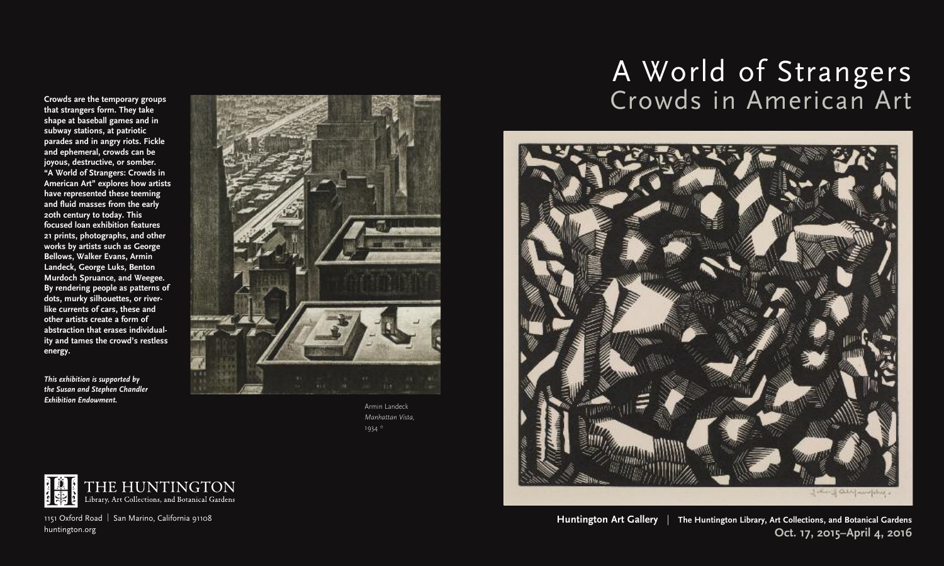**that strangers form. They take shape at baseball games and in subway stations, at patriotic parades and in angry riots. Fickle and ephemeral, crowds can be joyous, destructive, or somber. "A World of Strangers: Crowds in American Art" explores how artists have represented these teeming and fluid masses from the early 20th century to today. This focused loan exhibition features 21 prints, photographs, and other works by artists such as George Bellows, Walker Evans, Armin Landeck, George Luks, Benton Murdoch Spruance, and Weegee. By rendering people as patterns of dots, murky silhouettes, or riverlike currents of cars, these and other artists create a form of abstraction that erases individuality and tames the crowd's restless energy.**

*This exhibition is supported by the Susan and Stephen Chandler Exhibition Endowment.*



Armin Landeck *Manhattan Vista,* 1934 \*







1151 Oxford Road | San Marino, California 91108 huntington.org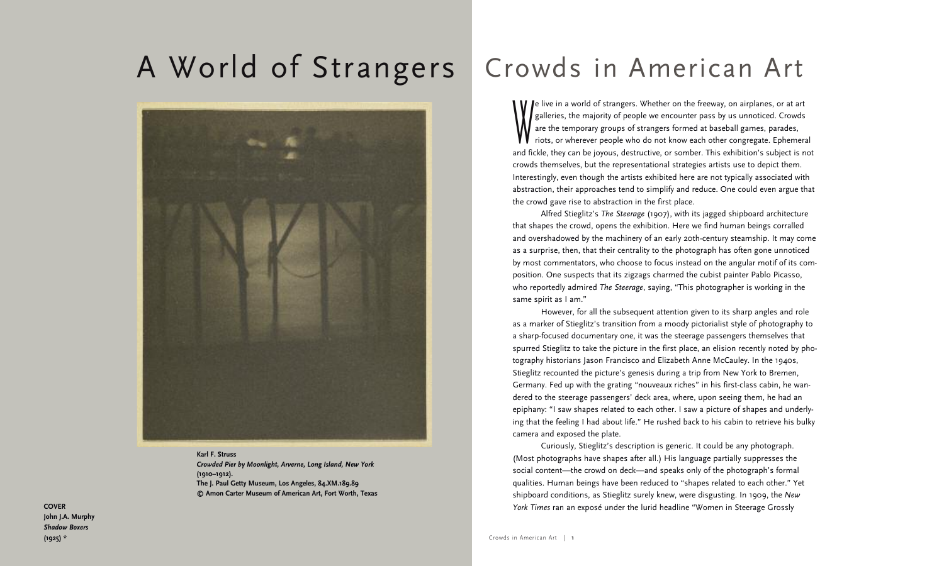# Crowds in American Art A World of Strangers



**Karl F. Struss** *Crowded Pier by Moonlight, Arverne, Long Island, New York* **(1910–1912). The J. Paul Getty Museum, Los Angeles, 84.XM.189.89 © Amon Carter Museum of American Art, Fort Worth, Texas**

We live in a world of strangers. Whether on the freeway, on airplanes, or at art galleries, the majority of people we encounter pass by us unnoticed. Crowds are the temporary groups of strangers formed at baseball games, p galleries, the majority of people we encounter pass by us unnoticed. Crowds are the temporary groups of strangers formed at baseball games, parades, riots, or wherever people who do not know each other congregate. Ephemeral and fickle, they can be joyous, destructive, or somber. This exhibition's subject is not crowds themselves, but the representational strategies artists use to depict them. Interestingly, even though the artists exhibited here are not typically associated with abstraction, their approaches tend to simplify and reduce. One could even argue that the crowd gave rise to abstraction in the first place.

Alfred Stieglitz's *The Steerage* (1907), with its jagged shipboard architecture that shapes the crowd, opens the exhibition. Here we find human beings corralled and overshadowed by the machinery of an early 20th-century steamship. It may come as a surprise, then, that their centrality to the photograph has often gone unnoticed by most commentators, who choose to focus instead on the angular motif of its composition. One suspects that its zigzags charmed the cubist painter Pablo Picasso, who reportedly admired *The Steerage*, saying, "This photographer is working in the same spirit as I am."

However, for all the subsequent attention given to its sharp angles and role as a marker of Stieglitz's transition from a moody pictorialist style of photography to a sharp-focused documentary one, it was the steerage passengers themselves that spurred Stieglitz to take the picture in the first place, an elision recently noted by photography historians Jason Francisco and Elizabeth Anne McCauley. In the 1940s, Stieglitz recounted the picture's genesis during a trip from New York to Bremen, Germany. Fed up with the grating "nouveaux riches" in his first-class cabin, he wandered to the steerage passengers' deck area, where, upon seeing them, he had an epiphany: "I saw shapes related to each other. I saw a picture of shapes and underlying that the feeling I had about life." He rushed back to his cabin to retrieve his bulky camera and exposed the plate.

Curiously, Stieglitz's description is generic. It could be any photograph. (Most photographs have shapes after all.) His language partially suppresses the social content—the crowd on deck—and speaks only of the photograph's formal qualities. Human beings have been reduced to "shapes related to each other." Yet shipboard conditions, as Stieglitz surely knew, were disgusting. In 1909, the *New York Times* ran an exposé under the lurid headline "Women in Steerage Grossly

**COVER John J.A. Murphy** *Shadow Boxers* **(1925) \***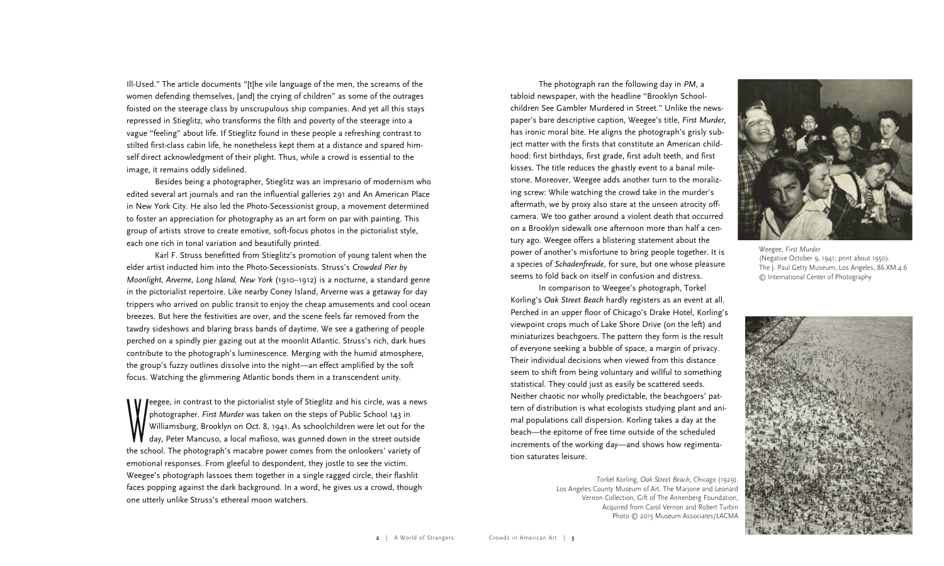Ill-Used." The article documents "[t]he vile language of the men, the screams of the women defending themselves, [and] the crying of children" as some of the outrages foisted on the steerage class by unscrupulous ship companies. And yet all this stays repressed in Stieglitz, who transforms the filth and poverty of the steerage into a vague "feeling" about life. If Stieglitz found in these people a refreshing contrast to stilted first-class cabin life, he nonetheless kept them at a distance and spared himself direct acknowledgment of their plight. Thus, while a crowd is essential to the image, it remains oddly sidelined.

Besides being a photographer, Stieglitz was an impresario of modernism who edited several art journals and ran the influential galleries 291 and An American Place in New York City. He also led the Photo-Secessionist group, a movement determined to foster an appreciation for photography as an art form on par with painting. This group of artists strove to create emotive, soft-focus photos in the pictorialist style, each one rich in tonal variation and beautifully printed.

Karl F. Struss benefitted from Stieglitz's promotion of young talent when the elder artist inducted him into the Photo-Secessionists. Struss's *Crowded Pier by Moonlight, Arverne, Long Island, New York* (1910–1912) is a nocturne, a standard genre in the pictorialist repertoire. Like nearby Coney Island, Arverne was a getaway for day trippers who arrived on public transit to enjoy the cheap amusements and cool ocean breezes. But here the festivities are over, and the scene feels far removed from the tawdry sideshows and blaring brass bands of daytime. We see a gathering of people perched on a spindly pier gazing out at the moonlit Atlantic. Struss's rich, dark hues contribute to the photograph's luminescence. Merging with the humid atmosphere, the group's fuzzy outlines dissolve into the night—an effect amplified by the soft focus. Watching the glimmering Atlantic bonds them in a transcendent unity.

reegee, in contrast to the pictorialist style of Stieglitz and his circle, was a news<br>photographer. First Murder was taken on the steps of Public School 143 in<br>Williamsburg, Brooklyn on Oct. 8, 1941. As schoolchildren were photographer. *First Murder* was taken on the steps of Public School 143 in Williamsburg, Brooklyn on Oct. 8, 1941. As schoolchildren were let out for the day, Peter Mancuso, a local mafioso, was gunned down in the street outside the school. The photograph's macabre power comes from the onlookers' variety of emotional responses. From gleeful to despondent, they jostle to see the victim. Weegee's photograph lassoes them together in a single ragged circle, their flashlit faces popping against the dark background. In a word, he gives us a crowd, though one utterly unlike Struss's ethereal moon watchers.

The photograph ran the following day in *PM*, a tabloid newspaper, with the headline "Brooklyn Schoolchildren See Gambler Murdered in Street." Unlike the newspaper's bare descriptive caption, Weegee's title, *First Murder,* has ironic moral bite. He aligns the photograph's grisly subject matter with the firsts that constitute an American childhood: first birthdays, first grade, first adult teeth, and first kisses. The title reduces the ghastly event to a banal milestone. Moreover, Weegee adds another turn to the moralizing screw: While watching the crowd take in the murder's aftermath, we by proxy also stare at the unseen atrocity offcamera. We too gather around a violent death that occurred on a Brooklyn sidewalk one afternoon more than half a century ago. Weegee offers a blistering statement about the power of another's misfortune to bring people together. It is a species of *Schadenfreude*, for sure, but one whose pleasure seems to fold back on itself in confusion and distress.

In comparison to Weegee's photograph, Torkel Korling's *Oak Street Beach* hardly registers as an event at all. Perched in an upper floor of Chicago's Drake Hotel, Korling's viewpoint crops much of Lake Shore Drive (on the left) and miniaturizes beachgoers. The pattern they form is the result of everyone seeking a bubble of space, a margin of privacy. Their individual decisions when viewed from this distance seem to shift from being voluntary and willful to something statistical. They could just as easily be scattered seeds. Neither chaotic nor wholly predictable, the beachgoers' pattern of distribution is what ecologists studying plant and animal populations call dispersion. Korling takes a day at the beach—the epitome of free time outside of the scheduled increments of the working day—and shows how regimentation saturates leisure.

> Torkel Korling, *Oak Street Beach, Chicago* (1929). Los Angeles County Museum of Art. The Marjorie and Leonard Vernon Collection, Gift of The Annenberg Foundation, Acquired from Carol Vernon and Robert Turbin Photo © 2015 Museum Associates/LACMA



Weegee, *First Murder* (Negative October 9, 1941; print about 1950). The J. Paul Getty Museum, Los Angeles, 86.XM.4.6 © International Center of Photography

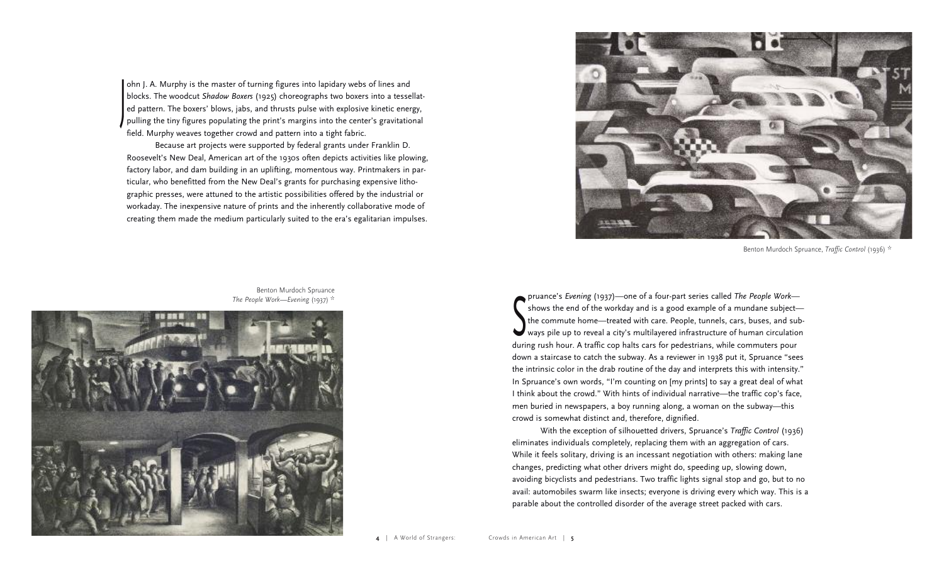ohn J. A. Murphy is the master of turning figures into lapidary webs of lines and blocks. The woodcut *Shadow Boxers* (1925) choreographs two boxers into a tessellated pattern. The boxers' blows, jabs, and thrusts pulse with explosive kinetic energy, ed pattern. The boxers' blows, jabs, and thrusts pulse with explosive kinetic energy,<br>pulling the tiny figures populating the print's margins into the center's gravitational field. Murphy weaves together crowd and pattern into a tight fabric.

Because art projects were supported by federal grants under Franklin D. Roosevelt's New Deal, American art of the 1930s often depicts activities like plowing, factory labor, and dam building in an uplifting, momentous way. Printmakers in particular, who benefitted from the New Deal's grants for purchasing expensive lithographic presses, were attuned to the artistic possibilities offered by the industrial or workaday. The inexpensive nature of prints and the inherently collaborative mode of creating them made the medium particularly suited to the era's egalitarian impulses.



Benton Murdoch Spruance, *Traffic Control* (1936) \*

the commute home—treated with care. People, tunnels, cars, buses, and sub-<br>ways pile up to reveal a city's multilayered infrastructure of human circulation pruance's *Evening* (1937)—one of a four-part series called *The People Work*—  $\tilde{\phantom{a}}$  shows the end of the workday and is a good example of a mundane subject the commute home—treated with care. People, tunnels, cars, buses, and subduring rush hour. A traffic cop halts cars for pedestrians, while commuters pour down a staircase to catch the subway. As a reviewer in 1938 put it, Spruance "sees the intrinsic color in the drab routine of the day and interprets this with intensity." In Spruance's own words, "I'm counting on [my prints] to say a great deal of what I think about the crowd." With hints of individual narrative—the traffic cop's face, men buried in newspapers, a boy running along, a woman on the subway—this crowd is somewhat distinct and, therefore, dignified.

With the exception of silhouetted drivers, Spruance's *Traffic Control* (1936) eliminates individuals completely, replacing them with an aggregation of cars. While it feels solitary, driving is an incessant negotiation with others: making lane changes, predicting what other drivers might do, speeding up, slowing down, avoiding bicyclists and pedestrians. Two traffic lights signal stop and go, but to no avail: automobiles swarm like insects; everyone is driving every which way. This is a parable about the controlled disorder of the average street packed with cars.

Benton Murdoch Spruance *The People Work—Evening* (1937) \*

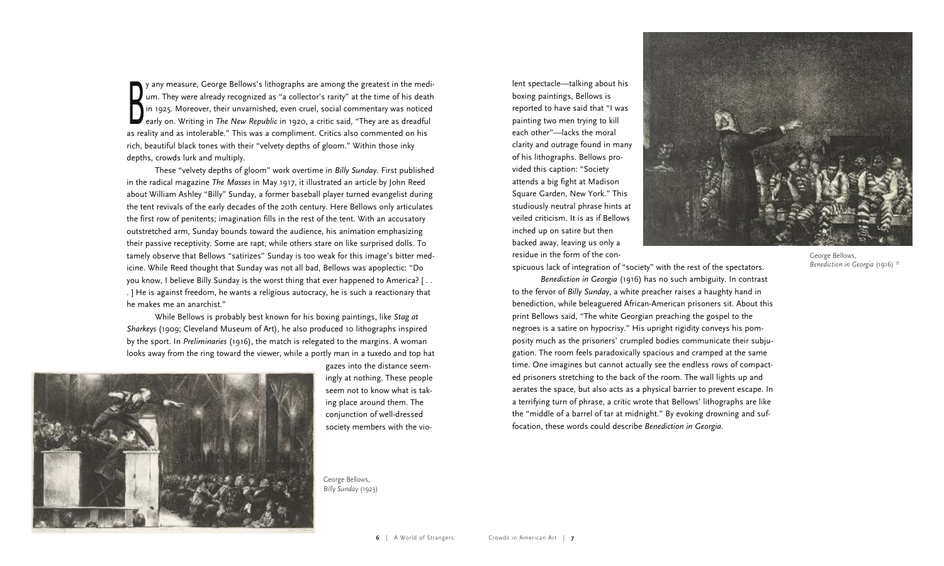y any measure, George Bellows's lithographs are among the greatest in the medium. They were already recognized as "a collector's rarity" at the time of his death in 1925. Moreover, their unvarnished, even cruel, social com um. They were already recognized as "a collector's rarity" at the time of his death in 1925. Moreover, their unvarnished, even cruel, social commentary was noticed early on. Writing in *The New Republic* in 1920, a critic said, "They are as dreadful as reality and as intolerable." This was a compliment. Critics also commented on his rich, beautiful black tones with their "velvety depths of gloom." Within those inky depths, crowds lurk and multiply.

These "velvety depths of gloom" work overtime in *Billy Sunday.* First published in the radical magazine *The Masses* in May 1917, it illustrated an article by John Reed about William Ashley "Billy" Sunday, a former baseball player turned evangelist during the tent revivals of the early decades of the 20th century. Here Bellows only articulates the first row of penitents; imagination fills in the rest of the tent. With an accusatory outstretched arm, Sunday bounds toward the audience, his animation emphasizing their passive receptivity. Some are rapt, while others stare on like surprised dolls. To tamely observe that Bellows "satirizes" Sunday is too weak for this image's bitter medicine. While Reed thought that Sunday was not all bad, Bellows was apoplectic: "Do you know, I believe Billy Sunday is the worst thing that ever happened to America? [ . . . ] He is against freedom, he wants a religious autocracy, he is such a reactionary that he makes me an anarchist."

While Bellows is probably best known for his boxing paintings, like *Stag at Sharkeys* (1909; Cleveland Museum of Art), he also produced 10 lithographs inspired by the sport. In *Preliminaries* (1916), the match is relegated to the margins. A woman looks away from the ring toward the viewer, while a portly man in a tuxedo and top hat



gazes into the distance seemingly at nothing. These people seem not to know what is taking place around them. The conjunction of well-dressed society members with the vio-

George Bellows, *Billy Sunday* (1923)

lent spectacle—talking about his boxing paintings, Bellows is reported to have said that "I was painting two men trying to kill each other"—lacks the moral clarity and outrage found in many of his lithographs. Bellows provided this caption: "Society attends a big fight at Madison Square Garden, New York." This studiously neutral phrase hints at veiled criticism. It is as if Bellows inched up on satire but then backed away, leaving us only a residue in the form of the con-



George Bellows, *Benediction in Georgia* (1916) \*

spicuous lack of integration of "society" with the rest of the spectators.

*Benediction in Georgia* (1916) has no such ambiguity. In contrast to the fervor of *Billy Sunday*, a white preacher raises a haughty hand in benediction, while beleaguered African-American prisoners sit. About this print Bellows said, "The white Georgian preaching the gospel to the negroes is a satire on hypocrisy." His upright rigidity conveys his pomposity much as the prisoners' crumpled bodies communicate their subjugation. The room feels paradoxically spacious and cramped at the same time. One imagines but cannot actually see the endless rows of compacted prisoners stretching to the back of the room. The wall lights up and aerates the space, but also acts as a physical barrier to prevent escape. In a terrifying turn of phrase, a critic wrote that Bellows' lithographs are like the "middle of a barrel of tar at midnight." By evoking drowning and suffocation, these words could describe *Benediction in Georgia.*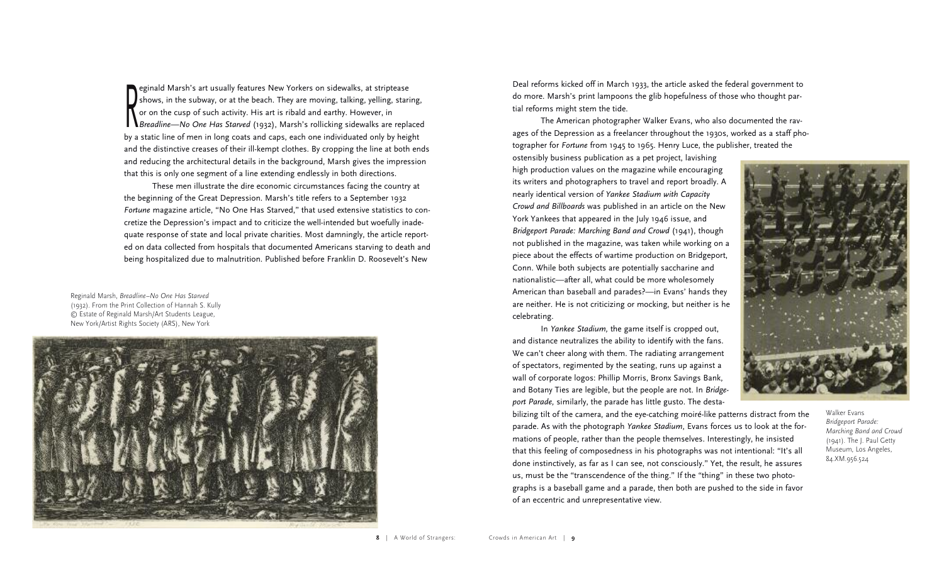eginald Marsh's art usually features New Yorkers on sidewalks, at striptease<br>shows, in the subway, or at the beach. They are moving, talking, yelling, star<br>or on the cusp of such activity. His art is ribald and earthy. How shows, in the subway, or at the beach. They are moving, talking, yelling, staring, or on the cusp of such activity. His art is ribald and earthy. However, in *Breadline—No One Has Starved* (1932), Marsh's rollicking sidewalks are replaced by a static line of men in long coats and caps, each one individuated only by height and the distinctive creases of their ill-kempt clothes. By cropping the line at both ends and reducing the architectural details in the background, Marsh gives the impression that this is only one segment of a line extending endlessly in both directions.

These men illustrate the dire economic circumstances facing the country at the beginning of the Great Depression. Marsh's title refers to a September 1932 *Fortune* magazine article, "No One Has Starved," that used extensive statistics to concretize the Depression's impact and to criticize the well-intended but woefully inadequate response of state and local private charities. Most damningly, the article reported on data collected from hospitals that documented Americans starving to death and being hospitalized due to malnutrition. Published before Franklin D. Roosevelt's New

Reginald Marsh, *Breadline–No One Has Starved* (1932). From the Print Collection of Hannah S. Kully © Estate of Reginald Marsh/Art Students League, New York/Artist Rights Society (ARS), New York



Deal reforms kicked off in March 1933, the article asked the federal government to do more. Marsh's print lampoons the glib hopefulness of those who thought partial reforms might stem the tide.

The American photographer Walker Evans, who also documented the ravages of the Depression as a freelancer throughout the 1930s, worked as a staff photographer for *Fortune* from 1945 to 1965. Henry Luce, the publisher, treated the

ostensibly business publication as a pet project, lavishing high production values on the magazine while encouraging its writers and photographers to travel and report broadly. A nearly identical version of *Yankee Stadium with Capacity Crowd and Billboards* was published in an article on the New York Yankees that appeared in the July 1946 issue, and *Bridge port Parade: Marching Band and Crowd* (1941), though not published in the magazine, was taken while working on a piece about the effects of wartime production on Bridgeport, Conn. While both subjects are potentially saccharine and nationalistic—after all, what could be more wholesomely American than baseball and parades?—in Evans' hands they are neither. He is not criticizing or mocking, but neither is he celebrating.

In *Yankee Stadium,* the game itself is cropped out, and distance neutralizes the ability to identify with the fans. We can't cheer along with them. The radiating arrangement of spectators, regimented by the seating, runs up against a wall of corporate logos: Phillip Morris, Bronx Savings Bank, and Botany Ties are legible, but the people are not. In *Bridge port Parade,* similarly, the parade has little gusto. The desta-



bilizing tilt of the camera, and the eye-catching moiré-like patterns distract from the parade. As with the photograph *Yankee Stadium*, Evans forces us to look at the formations of people, rather than the people themselves. Interestingly, he insisted that this feeling of composedness in his photographs was not intentional: "It's all done instinctively, as far as I can see, not consciously." Yet, the result, he assures us, must be the "transcendence of the thing." If the "thing" in these two photographs is a baseball game and a parade, then both are pushed to the side in favor of an eccentric and unrepresentative view.

Walker Evans *Bridgeport Parade: Marching Band and Crowd* (1941). The J. Paul Getty Museum, Los Angeles, 84.XM.956.524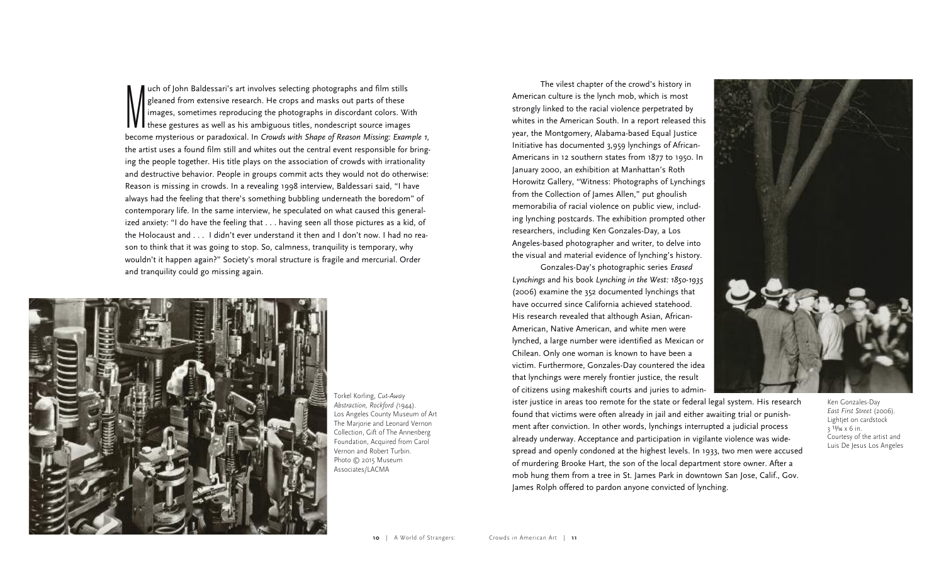who of John Baldessari's art involves selecting photographs and film stills<br>gleaned from extensive research. He crops and masks out parts of these<br>images, sometimes reproducing the photographs in discordant colors. We<br>thes gleaned from extensive research. He crops and masks out parts of these images, sometimes reproducing the photographs in discordant colors. With  $\blacksquare$  these gestures as well as his ambiguous titles, nondescript source images become mysterious or paradoxical. In *Crowds with Shape of Reason Missing: Example 1,* the artist uses a found film still and whites out the central event responsible for bringing the people together. His title plays on the association of crowds with irrationality and destructive behavior. People in groups commit acts they would not do otherwise: Reason is missing in crowds. In a revealing 1998 interview, Baldessari said, "I have always had the feeling that there's something bubbling underneath the boredom" of contemporary life. In the same interview, he speculated on what caused this generalized anxiety: "I do have the feeling that . . . having seen all those pictures as a kid, of the Holocaust and . . . I didn't ever understand it then and I don't now. I had no reason to think that it was going to stop. So, calmness, tranquility is temporary, why wouldn't it happen again?" Society's moral structure is fragile and mercurial. Order and tranquility could go missing again.



Torkel Korling, *Cut-Away Abstraction, Rockford (*1944). Los Angeles County Museum of Art The Marjorie and Leonard Vernon Collection, Gift of The Annenberg Foundation, Acquired from Carol Vernon and Robert Turbin. Photo © 2015 Museum Associates/LACMA

The vilest chapter of the crowd's history in American culture is the lynch mob, which is most strongly linked to the racial violence perpetrated by whites in the American South. In a report released this year, the Montgomery, Alabama-based Equal Justice Initiative has documented 3,959 lynchings of African-Americans in 12 southern states from 1877 to 1950. In January 2000, an exhibition at Manhattan's Roth Horowitz Gallery, "Witness: Photographs of Lynchings from the Collection of James Allen," put ghoulish memorabilia of racial violence on public view, including lynching postcards. The exhibition prompted other researchers, including Ken Gonzales-Day, a Los Angeles-based photographer and writer, to delve into the visual and material evidence of lynching's history.

Gonzales-Day's photographic series *Erased Lynchings* and his book *Lynching in the West: 1850-1935* (2006) examine the 352 documented lynchings that have occurred since California achieved statehood. His research revealed that although Asian, African-American, Native American, and white men were lynched, a large number were identified as Mexican or Chilean. Only one woman is known to have been a victim. Furthermore, Gonzales-Day countered the idea that lynchings were merely frontier justice, the result of citizens using makeshift courts and juries to admin-

ister justice in areas too remote for the state or federal legal system. His research found that victims were often already in jail and either awaiting trial or punishment after conviction. In other words, lynchings interrupted a judicial process already underway. Acceptance and participation in vigilante violence was widespread and openly condoned at the highest levels. In 1933, two men were accused of murdering Brooke Hart, the son of the local department store owner. After a mob hung them from a tree in St. James Park in downtown San Jose, Calif., Gov. James Rolph offered to pardon anyone convicted of lynching.

Ken Gonzales-Day *East First Street* (2006). Lightjet on cardstock  $3^{13}/16 \times 6$  in. Courtesy of the artist and Luis De Jesus Los Angeles